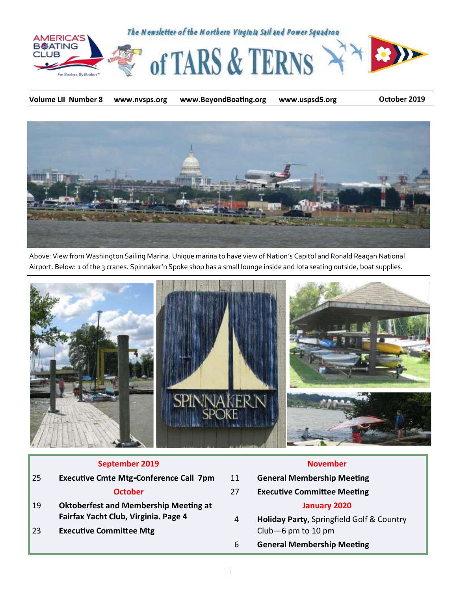

**Volume LII Number 8 www.nvsps.org www.BeyondBoating.org www.uspsd5.org October 2019**



Above: View from Washington Sailing Marina. Unique marina to have view of Nation's Capitol and Ronald Reagan National Airport. Below: 1 of the 3 cranes. Spinnaker'n Spoke shop has a small lounge inside and lota seating outside, boat supplies.



#### **September 2019**

| 25 | <b>Executive Cmte Mtg-Conference Call 7pm</b>                                        |
|----|--------------------------------------------------------------------------------------|
|    | <b>October</b>                                                                       |
| 19 | <b>Oktoberfest and Membership Meeting at</b><br>Fairfax Yacht Club, Virginia. Page 4 |
| 23 | <b>Executive Committee Mtg</b>                                                       |

#### **November**

- 11 **General Membership Meeting**
- 27 **Executive Committee Meeting**

#### **January 2020**

- 4 **Holiday Party,** Springfield Golf & Country Club—6 pm to 10 pm
- 6 **General Membership Meeting**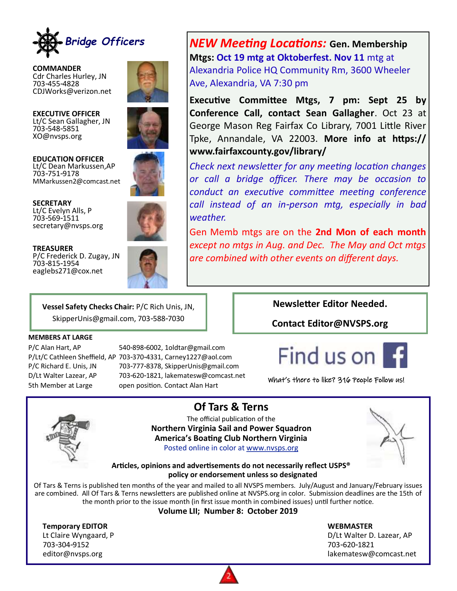

**COMMANDER** Cdr Charles Hurley, JN 703-455-4828 CDJWorks@verizon.net



**EXECUTIVE OFFICER** Lt/C Sean Gallagher, JN 703-548-5851 XO@nvsps.org



**EDUCATION OFFICER** Lt/C Dean Markussen,AP 703-751-9178 MMarkussen2@comcast.net

**SECRETARY** Lt/C Evelyn Alls, P 703-569-1511 secretary@nvsps.org



**TREASURER** P/C Frederick D. Zugay, JN 703-815-1954 eaglebs271@cox.net

*NEW Meeting Locations:* **Gen. Membership Mtgs: Oct 19 mtg at Oktoberfest. Nov 11** mtg at Alexandria Police HQ Community Rm, 3600 Wheeler Ave, Alexandria, VA 7:30 pm

**Executive Committee Mtgs, 7 pm: Sept 25 by Conference Call, contact Sean Gallagher**. Oct 23 at George Mason Reg Fairfax Co Library, 7001 Little River Tpke, Annandale, VA 22003. **More info at https:// www.fairfaxcounty.gov/library/** 

*Check next newsletter for any meeting location changes or call a bridge officer. There may be occasion to conduct an executive committee meeting conference call instead of an in-person mtg, especially in bad weather.* 

Gen Memb mtgs are on the **2nd Mon of each month**  *except no mtgs in Aug. and Dec. The May and Oct mtgs are combined with other events on different days.* 

**Vessel Safety Checks Chair:** P/C Rich Unis, JN, SkipperUnis@gmail.com, 703-588-7030

#### **MEMBERS AT LARGE**

P/C Alan Hart, AP 540-898-6002, 1oldtar@gmail.com P/Lt/C Cathleen Sheffield, AP 703-370-4331, Carney1227@aol.com P/C Richard E. Unis, JN 703-777-8378, SkipperUnis@gmail.com D/Lt Walter Lazear, AP 703-620-1821, lakematesw@comcast.net 5th Member at Large open position. Contact Alan Hart

#### **Newsletter Editor Needed.**

**Contact Editor@NVSPS.org**



What's there to like? 316 People Follow us!



**Of Tars & Terns**

The official publication of the **Northern Virginia Sail and Power Squadron America's Boating Club Northern Virginia** Posted online in color at [www.nvsps.org](http://www.nvsps.org)



**Articles, opinions and advertisements do not necessarily reflect USPS® policy or endorsement unless so designated**

Of Tars & Terns is published ten months of the year and mailed to all NVSPS members. July/August and January/February issues are combined. All Of Tars & Terns newsletters are published online at NVSPS.org in color. Submission deadlines are the 15th of the month prior to the issue month (in first issue month in combined issues) until further notice.

**Volume LII; Number 8: October 2019** 

**Temporary EDITOR WEBMASTER** 703-304-9152 703-620-1821

Lt Claire Wyngaard, P and Communication of the D/Lt Walter D. Lazear, AP editor@nvsps.org determines and the comparator of the community of the community of the community of the community of the community of the community of the community of the community of the community of the community of th

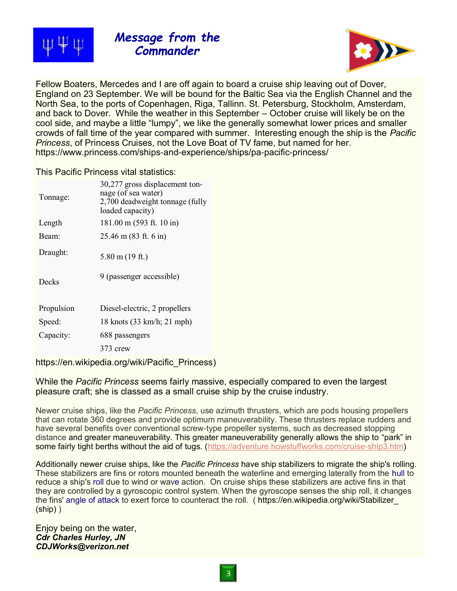

*Message from the Commander*



Fellow Boaters, Mercedes and I are off again to board a cruise ship leaving out of Dover, England on 23 September. We will be bound for the Baltic Sea via the English Channel and the North Sea, to the ports of Copenhagen, Riga, Tallinn. St. Petersburg, Stockholm, Amsterdam, and back to Dover. While the weather in this September – October cruise will likely be on the cool side, and maybe a little "lumpy", we like the generally somewhat lower prices and smaller crowds of fall time of the year compared with summer. Interesting enough the ship is the *Pacific Princess*, of Princess Cruises, not the Love Boat of TV fame, but named for her. https://www.princess.com/ships-and-experience/ships/pa-pacific-princess/

#### This Pacific Princess vital statistics:

| Tonnage:   | 30,277 gross displacement ton-<br>nage (of sea water)<br>2,700 deadweight tonnage (fully<br>loaded capacity) |
|------------|--------------------------------------------------------------------------------------------------------------|
| Length     | 181.00 m (593 ft. 10 in)                                                                                     |
| Beam:      | $25.46 \text{ m} (83 \text{ ft. } 6 \text{ in})$                                                             |
| Draught:   | $5.80 \text{ m}$ (19 ft.)                                                                                    |
| Decks      | 9 (passenger accessible)                                                                                     |
| Propulsion | Diesel-electric, 2 propellers                                                                                |
| Speed:     | 18 knots (33 km/h; 21 mph)                                                                                   |
| Capacity:  | 688 passengers                                                                                               |
|            | 373 crew                                                                                                     |
|            |                                                                                                              |

[https://en.wikipedia.org/wiki/Pacific\\_Princess\)](https://en.wikipedia.org/wiki/Pacific_Princess)

While the *Pacific Princess* seems fairly massive, especially compared to even the largest pleasure craft; she is classed as a small cruise ship by the cruise industry.

Newer cruise ships, like the *Pacific Princess*, use azimuth thrusters, which are pods housing propellers that can rotate 360 degrees and provide optimum maneuverability. These thrusters replace rudders and have several benefits over conventional screw-type propeller systems, such as decreased stopping distance and greater maneuverability. This greater maneuverability generally allows the ship to "park" in some fairly tight berths without the aid of tugs. ([https://adventure.howstuffworks.com/cruise-ship3.htm\)](https://adventure.howstuffworks.com/cruise-ship3.htm)

Additionally newer cruise ships, like the *Pacific Princess* have ship stabilizers to migrate the ship's rolling. These stabilizers are fins or rotors mounted beneath the waterline and emerging laterally from the [hull](https://en.wikipedia.org/wiki/Hull_(watercraft)) to reduce a ship's [roll](https://en.wikipedia.org/wiki/Ship_motions#Rotational_motions) due to wind or wave action. On cruise ships these stabilizers are active fins in that they are controlled by a gyroscopic control system. When the gyroscope senses the ship roll, it changes the fins' [angle of attack](https://en.wikipedia.org/wiki/Angle_of_attack) to exert force to counteract the roll. ( [https://en.wikipedia.org/wiki/Stabilizer\\_](https://en.wikipedia.org/wiki/Stabilizer_(ship)) [\(ship\)](https://en.wikipedia.org/wiki/Stabilizer_(ship)) )

Enjoy being on the water, *Cdr Charles Hurley, JN CDJWorks@verizon.net*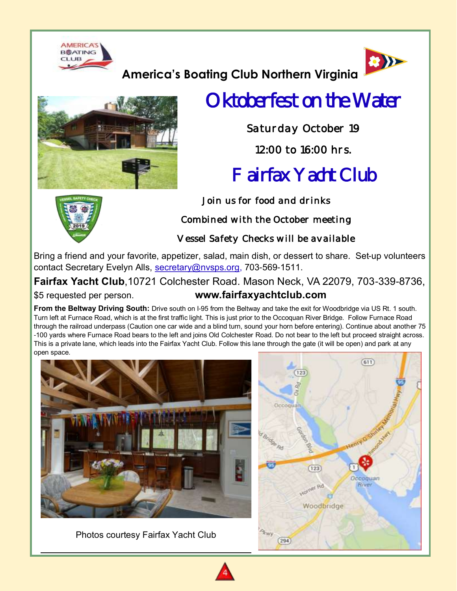



# **America's Boating Club Northern Virginia**



# Oktoberfest on the Water

*Saturday October 19* 

# *12:00 to 16:00 hrs.*

# Fairfax Yacht Club

*Join us for food and drinks* 

*Combined with the October meeting* 

*Vessel Safety Checks will be available*

Bring a friend and your favorite, appetizer, salad, main dish, or dessert to share. Set-up volunteers contact Secretary Evelyn Alls, [secretary@nvsps.org,](mailto:secretary@nvsps.org) 703-569-1511.

**Fairfax Yacht Club**,10721 Colchester Road. Mason Neck, VA 22079, 703-339-8736, \$5 requested per person. **www.fairfaxyachtclub.com**

**From the Beltway Driving South:** Drive south on I-95 from the Beltway and take the exit for Woodbridge via US Rt. 1 south. Turn left at Furnace Road, which is at the first traffic light. This is just prior to the Occoquan River Bridge. Follow Furnace Road through the railroad underpass (Caution one car wide and a blind turn, sound your horn before entering). Continue about another 75 -100 yards where Furnace Road bears to the left and joins Old Colchester Road. Do not bear to the left but proceed straight across. This is a private lane, which leads into the Fairfax Yacht Club. Follow this lane through the gate (it will be open) and park at any open space.



Photos courtesy Fairfax Yacht Club





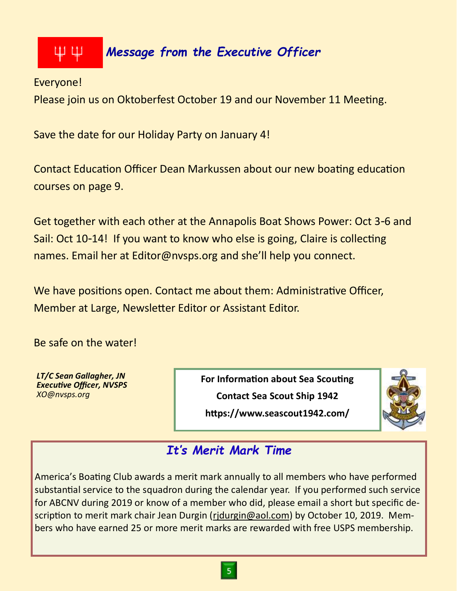#### ΨΨ *Message from the Executive Officer*

Everyone!

Please join us on Oktoberfest October 19 and our November 11 Meeting.

Save the date for our Holiday Party on January 4!

Contact Education Officer Dean Markussen about our new boating education courses on page 9.

Get together with each other at the Annapolis Boat Shows Power: Oct 3-6 and Sail: Oct 10-14! If you want to know who else is going, Claire is collecting names. Email her at Editor@nvsps.org and she'll help you connect.

We have positions open. Contact me about them: Administrative Officer, Member at Large, Newsletter Editor or Assistant Editor.

Be safe on the water!

*LT/C Sean Gallagher, JN Executive Officer, NVSPS XO@nvsps.org*

**For Information about Sea Scouting Contact Sea Scout Ship 1942**





# *It's Merit Mark Time*

America's Boating Club awards a merit mark annually to all members who have performed substantial service to the squadron during the calendar year. If you performed such service for ABCNV during 2019 or know of a member who did, please email a short but specific description to merit mark chair Jean Durgin [\(rjdurgin@aol.com\)](mailto:rjdurgin@aol.com) by October 10, 2019. Members who have earned 25 or more merit marks are rewarded with free USPS membership.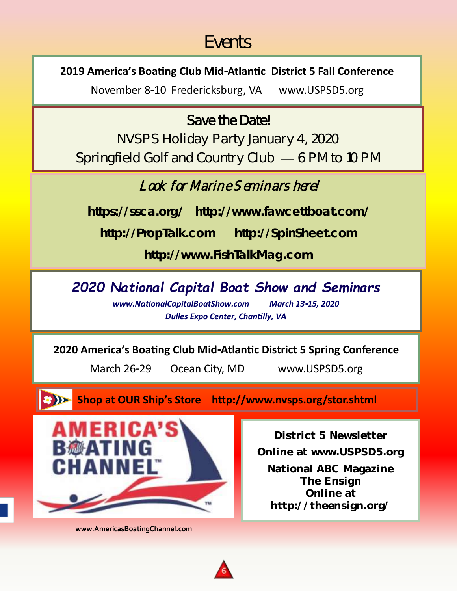# Events

# **2019 America's Boating Club Mid-Atlantic District 5 Fall Conference**

November 8-10 Fredericksburg, VA www.USPSD5.org

# Save the Date!

NVSPS Holiday Party January 4, 2020 Springfield Golf and Country Club — 6 PM to 10 PM

# Look for Marine Seminars here!

*https://ssca.org/ http://www.fawcettboat.com/*

*http://PropTalk.com http://SpinSheet.com*

*http://www.FishTalkMag.com*

# *2020 National Capital Boat Show and Seminars*

*www.NationalCapitalBoatShow.com March 13-15, 2020 Dulles Expo Center, Chantilly, VA*

## **2020 America's Boating Club Mid-Atlantic District 5 Spring Conference**

March 26-29 Ocean City, MD www.USPSD5.org

**Shop at OUR Ship's Store http://www.nvsps.org/stor.shtml**



**www.AmericasBoatingChannel.com**

**District 5 Newsletter Online at www.USPSD5.org**

**National ABC Magazine The Ensign Online at http://theensign.org/**

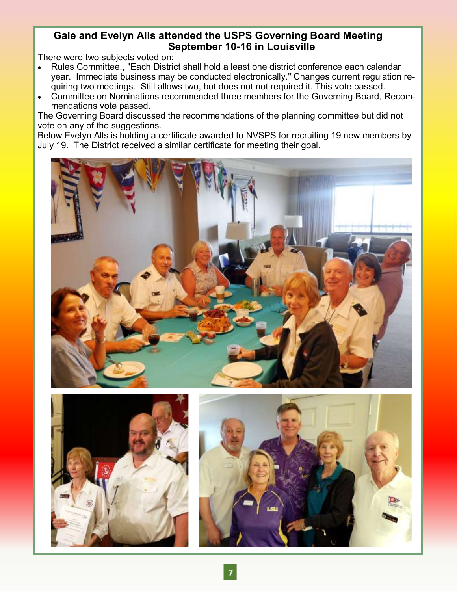### **Gale and Evelyn Alls attended the USPS Governing Board Meeting September 10-16 in Louisville**

There were two subjects voted on:

- Rules Committee., "Each District shall hold a least one district conference each calendar year. Immediate business may be conducted electronically." Changes current regulation requiring two meetings. Still allows two, but does not not required it. This vote passed.
- Committee on Nominations recommended three members for the Governing Board, Recommendations vote passed.

The Governing Board discussed the recommendations of the planning committee but did not vote on any of the suggestions.

Below Evelyn Alls is holding a certificate awarded to NVSPS for recruiting 19 new members by July 19. The District received a similar certificate for meeting their goal.





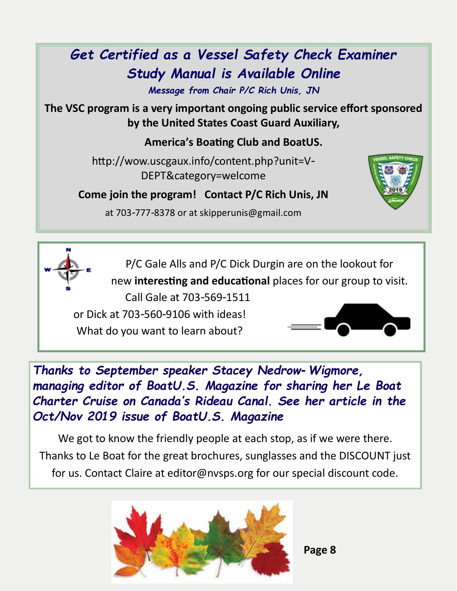# *Get Certified as a Vessel Safety Check Examiner Study Manual is Available Online*

*Message from Chair P/C Rich Unis, JN*

**The VSC program is a very important ongoing public service effort sponsored by the United States Coast Guard Auxiliary,** 

**America's Boating Club and BoatUS.**

http://wow.uscgaux.info/content.php?unit=V-DEPT&category=welcome

**Come join the program! Contact P/C Rich Unis, JN** 



at 703-777-8378 or at skipperunis@gmail.com

P/C Gale Alls and P/C Dick Durgin are on the lookout for new **interesting and educational** places for our group to visit.

Call Gale at 703-569-1511 or Dick at 703-560-9106 with ideas! What do you want to learn about?



*Thanks to September speaker Stacey Nedrow-Wigmore, managing editor of BoatU.S. Magazine for sharing her Le Boat Charter Cruise on Canada's Rideau Canal. See her article in the Oct/Nov 2019 issue of BoatU.S. Magazine*

We got to know the friendly people at each stop, as if we were there. Thanks to Le Boat for the great brochures, sunglasses and the DISCOUNT just for us. Contact Claire at editor@nvsps.org for our special discount code.

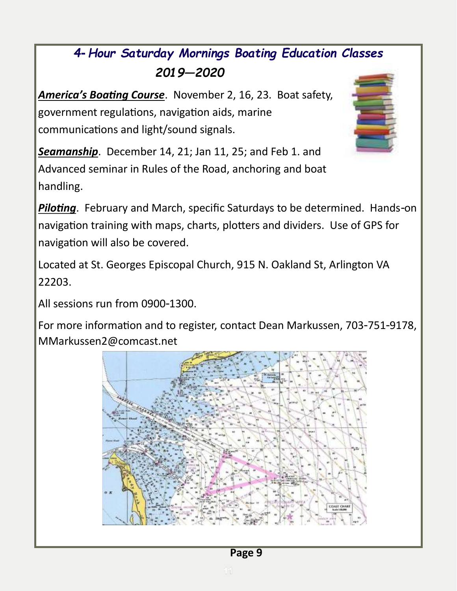# *4-Hour Saturday Mornings Boating Education Classes 2019—2020*

*America's Boating Course*. November 2, 16, 23. Boat safety, government regulations, navigation aids, marine communications and light/sound signals.



*Seamanship*. December 14, 21; Jan 11, 25; and Feb 1. and Advanced seminar in Rules of the Road, anchoring and boat handling.

*Piloting*. February and March, specific Saturdays to be determined. Hands-on navigation training with maps, charts, plotters and dividers. Use of GPS for navigation will also be covered.

Located at St. Georges Episcopal Church, 915 N. Oakland St, Arlington VA 22203.

All sessions run from 0900-1300.

For more information and to register, contact Dean Markussen, 703-751-9178, MMarkussen2@comcast.net